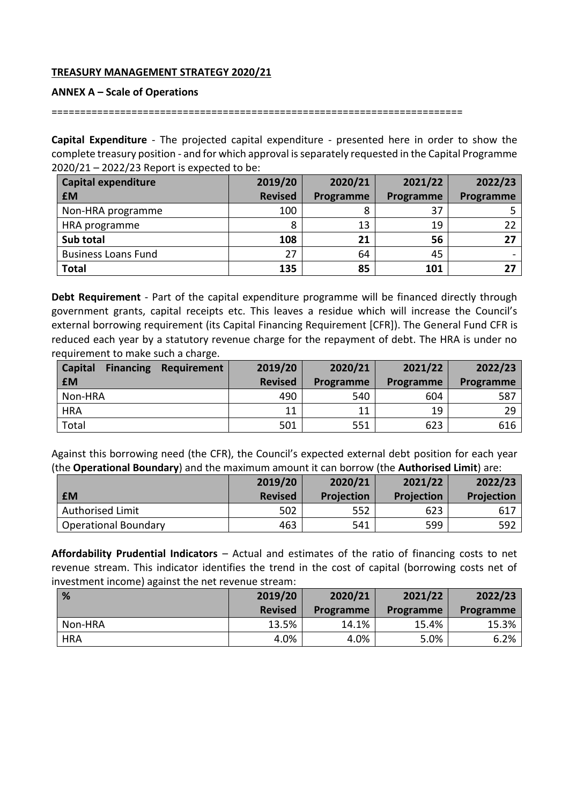## **TREASURY MANAGEMENT STRATEGY 2020/21**

## **ANNEX A – Scale of Operations**

========================================================================

**Capital Expenditure** - The projected capital expenditure - presented here in order to show the complete treasury position - and for which approval is separately requested in the Capital Programme 2020/21 – 2022/23 Report is expected to be:

| <b>Capital expenditure</b> | 2019/20        | 2020/21   | 2021/22   | 2022/23   |
|----------------------------|----------------|-----------|-----------|-----------|
| <b>£M</b>                  | <b>Revised</b> | Programme | Programme | Programme |
| Non-HRA programme          | 100            | 8         | 37        |           |
| HRA programme              | 8              | 13        | 19        | 22        |
| Sub total                  | 108            | 21        | 56        | 27        |
| <b>Business Loans Fund</b> | 27             | 64        | 45        |           |
| <b>Total</b>               | 135            | 85        | 101       | 27        |

**Debt Requirement** - Part of the capital expenditure programme will be financed directly through government grants, capital receipts etc. This leaves a residue which will increase the Council's external borrowing requirement (its Capital Financing Requirement [CFR]). The General Fund CFR is reduced each year by a statutory revenue charge for the repayment of debt. The HRA is under no requirement to make such a charge.

| <b>Capital</b><br><b>Financing</b><br>Requirement | 2019/20        | 2020/21   | 2021/22   | 2022/23   |
|---------------------------------------------------|----------------|-----------|-----------|-----------|
| <b>£M</b>                                         | <b>Revised</b> | Programme | Programme | Programme |
| Non-HRA                                           | 490            | 540       | 604       | 587       |
| <b>HRA</b>                                        | 11             | 11        | 19        | 29        |
| Total                                             | 501            | 551       | 623       | 616       |

Against this borrowing need (the CFR), the Council's expected external debt position for each year (the **Operational Boundary**) and the maximum amount it can borrow (the **Authorised Limit**) are:

| <b>£M</b>                   | 2019/20<br><b>Revised</b> | 2020/21<br>Projection | 2021/22<br><b>Projection</b> | 2022/23<br><b>Projection</b> |
|-----------------------------|---------------------------|-----------------------|------------------------------|------------------------------|
| <b>Authorised Limit</b>     | 502                       | 552                   | 623                          | 617                          |
| <b>Operational Boundary</b> | 463                       | 541                   | 599                          | 592                          |

**Affordability Prudential Indicators** – Actual and estimates of the ratio of financing costs to net revenue stream. This indicator identifies the trend in the cost of capital (borrowing costs net of investment income) against the net revenue stream:

| %          | 2019/20        | 2020/21   | 2021/22   | 2022/23   |
|------------|----------------|-----------|-----------|-----------|
|            | <b>Revised</b> | Programme | Programme | Programme |
| Non-HRA    | 13.5%          | 14.1%     | 15.4%     | 15.3%     |
| <b>HRA</b> | 4.0%           | 4.0%      | 5.0%      | 6.2%      |